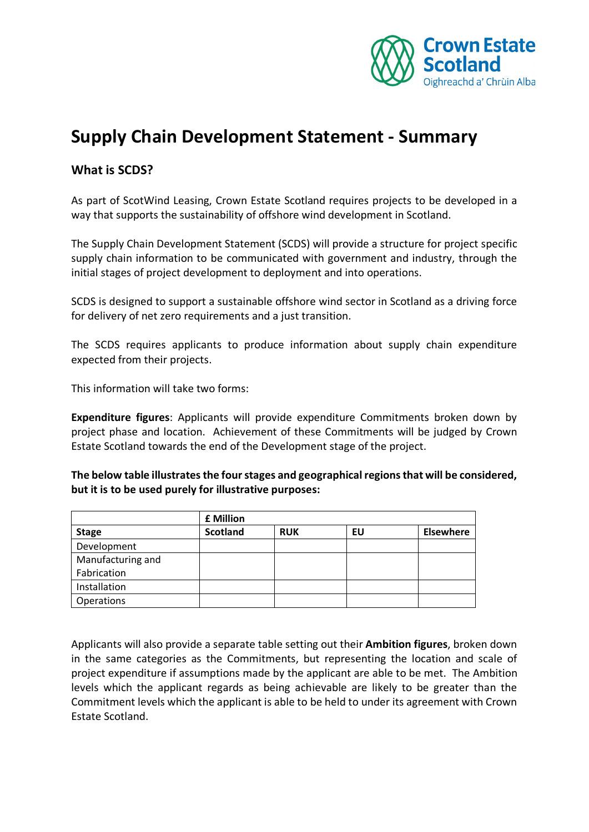

# **Supply Chain Development Statement - Summary**

## **What is SCDS?**

As part of ScotWind Leasing, Crown Estate Scotland requires projects to be developed in a way that supports the sustainability of offshore wind development in Scotland.

The Supply Chain Development Statement (SCDS) will provide a structure for project specific supply chain information to be communicated with government and industry, through the initial stages of project development to deployment and into operations.

SCDS is designed to support a sustainable offshore wind sector in Scotland as a driving force for delivery of net zero requirements and a just transition.

The SCDS requires applicants to produce information about supply chain expenditure expected from their projects.

This information will take two forms:

**Expenditure figures**: Applicants will provide expenditure Commitments broken down by project phase and location. Achievement of these Commitments will be judged by Crown Estate Scotland towards the end of the Development stage of the project.

**The below table illustrates the four stages and geographical regions that will be considered, but it is to be used purely for illustrative purposes:** 

|                   | <b>£ Million</b> |            |    |                  |
|-------------------|------------------|------------|----|------------------|
| <b>Stage</b>      | <b>Scotland</b>  | <b>RUK</b> | EU | <b>Elsewhere</b> |
| Development       |                  |            |    |                  |
| Manufacturing and |                  |            |    |                  |
| Fabrication       |                  |            |    |                  |
| Installation      |                  |            |    |                  |
| Operations        |                  |            |    |                  |

Applicants will also provide a separate table setting out their **Ambition figures**, broken down in the same categories as the Commitments, but representing the location and scale of project expenditure if assumptions made by the applicant are able to be met. The Ambition levels which the applicant regards as being achievable are likely to be greater than the Commitment levels which the applicant is able to be held to under its agreement with Crown Estate Scotland.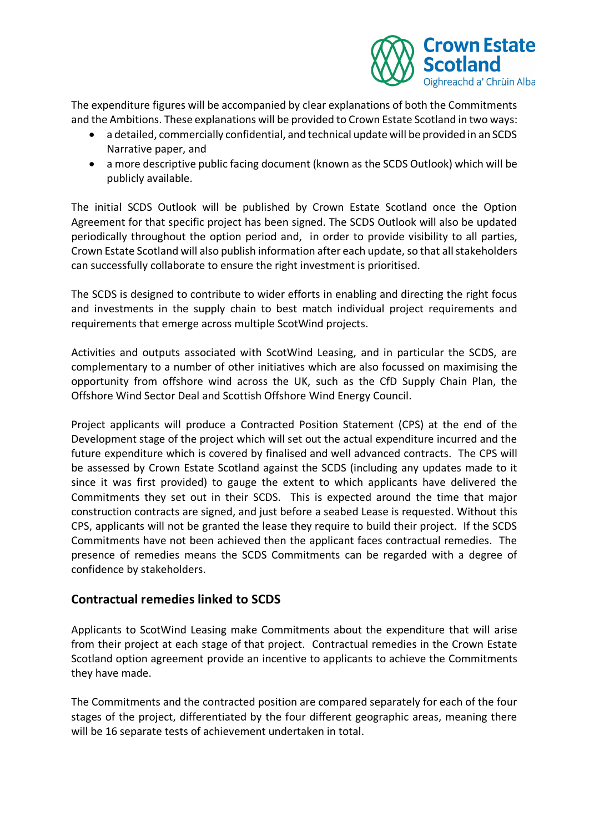

The expenditure figures will be accompanied by clear explanations of both the Commitments and the Ambitions. These explanations will be provided to Crown Estate Scotland in two ways:

- a detailed, commercially confidential, and technical update will be provided in an SCDS Narrative paper, and
- a more descriptive public facing document (known as the SCDS Outlook) which will be publicly available.

The initial SCDS Outlook will be published by Crown Estate Scotland once the Option Agreement for that specific project has been signed. The SCDS Outlook will also be updated periodically throughout the option period and, in order to provide visibility to all parties, Crown Estate Scotland will also publish information after each update, so that all stakeholders can successfully collaborate to ensure the right investment is prioritised.

The SCDS is designed to contribute to wider efforts in enabling and directing the right focus and investments in the supply chain to best match individual project requirements and requirements that emerge across multiple ScotWind projects.

Activities and outputs associated with ScotWind Leasing, and in particular the SCDS, are complementary to a number of other initiatives which are also focussed on maximising the opportunity from offshore wind across the UK, such as the CfD Supply Chain Plan, the Offshore Wind Sector Deal and Scottish Offshore Wind Energy Council.

Project applicants will produce a Contracted Position Statement (CPS) at the end of the Development stage of the project which will set out the actual expenditure incurred and the future expenditure which is covered by finalised and well advanced contracts. The CPS will be assessed by Crown Estate Scotland against the SCDS (including any updates made to it since it was first provided) to gauge the extent to which applicants have delivered the Commitments they set out in their SCDS. This is expected around the time that major construction contracts are signed, and just before a seabed Lease is requested. Without this CPS, applicants will not be granted the lease they require to build their project. If the SCDS Commitments have not been achieved then the applicant faces contractual remedies. The presence of remedies means the SCDS Commitments can be regarded with a degree of confidence by stakeholders.

# **Contractual remedies linked to SCDS**

Applicants to ScotWind Leasing make Commitments about the expenditure that will arise from their project at each stage of that project. Contractual remedies in the Crown Estate Scotland option agreement provide an incentive to applicants to achieve the Commitments they have made.

The Commitments and the contracted position are compared separately for each of the four stages of the project, differentiated by the four different geographic areas, meaning there will be 16 separate tests of achievement undertaken in total.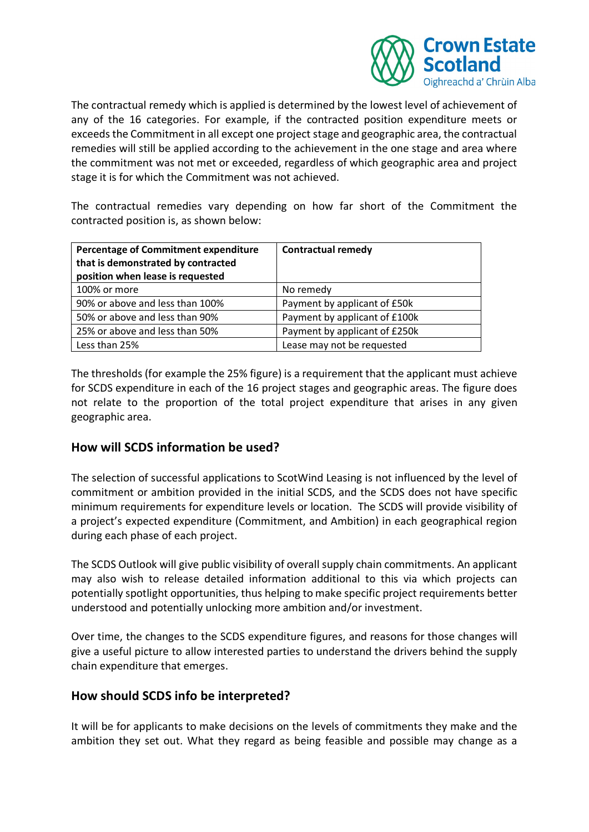

The contractual remedy which is applied is determined by the lowest level of achievement of any of the 16 categories. For example, if the contracted position expenditure meets or exceeds the Commitment in all except one project stage and geographic area, the contractual remedies will still be applied according to the achievement in the one stage and area where the commitment was not met or exceeded, regardless of which geographic area and project stage it is for which the Commitment was not achieved.

The contractual remedies vary depending on how far short of the Commitment the contracted position is, as shown below:

| <b>Percentage of Commitment expenditure</b><br>that is demonstrated by contracted<br>position when lease is requested | <b>Contractual remedy</b>     |  |
|-----------------------------------------------------------------------------------------------------------------------|-------------------------------|--|
| 100% or more                                                                                                          | No remedy                     |  |
| 90% or above and less than 100%                                                                                       | Payment by applicant of £50k  |  |
| 50% or above and less than 90%                                                                                        | Payment by applicant of £100k |  |
| 25% or above and less than 50%                                                                                        | Payment by applicant of £250k |  |
| Less than 25%                                                                                                         | Lease may not be requested    |  |

The thresholds (for example the 25% figure) is a requirement that the applicant must achieve for SCDS expenditure in each of the 16 project stages and geographic areas. The figure does not relate to the proportion of the total project expenditure that arises in any given geographic area.

#### **How will SCDS information be used?**

The selection of successful applications to ScotWind Leasing is not influenced by the level of commitment or ambition provided in the initial SCDS, and the SCDS does not have specific minimum requirements for expenditure levels or location. The SCDS will provide visibility of a project's expected expenditure (Commitment, and Ambition) in each geographical region during each phase of each project.

The SCDS Outlook will give public visibility of overall supply chain commitments. An applicant may also wish to release detailed information additional to this via which projects can potentially spotlight opportunities, thus helping to make specific project requirements better understood and potentially unlocking more ambition and/or investment.

Over time, the changes to the SCDS expenditure figures, and reasons for those changes will give a useful picture to allow interested parties to understand the drivers behind the supply chain expenditure that emerges.

# **How should SCDS info be interpreted?**

It will be for applicants to make decisions on the levels of commitments they make and the ambition they set out. What they regard as being feasible and possible may change as a